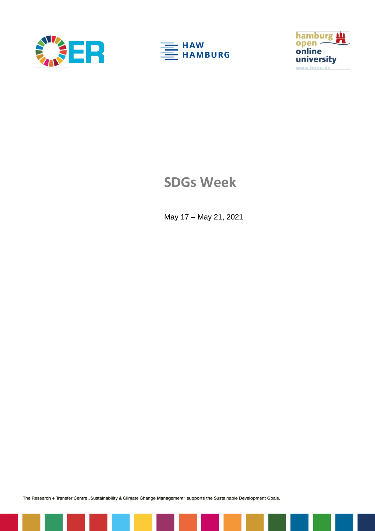





## **SDGs Week**

May 17 – May 21, 2021

The Research + Transfer Centre "Sustainability & Climate Change Management" supports the Sustainable Development Goals.